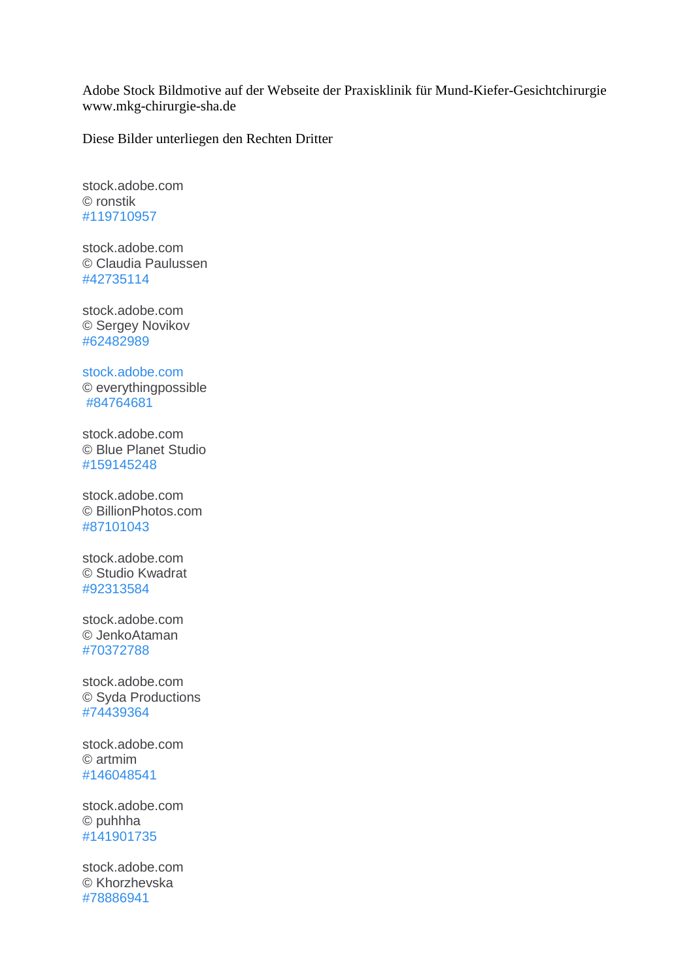Adobe Stock Bildmotive auf der Webseite der Praxisklinik für Mund-Kiefer-Gesichtchirurgie www.mkg-chirurgie-sha.de

Diese Bilder unterliegen den Rechten Dritter

stock.adobe.com © ronstik [#119710957](https://stock.adobe.com/de/images/medical-consultation-doctor-and-patient-sitting-by-the-table/119710957)

stock.adobe.com © Claudia Paulussen [#42735114](https://stock.adobe.com/de/images/kinder-spielen-zahnarzt/42735114)

stock.adobe.com © Sergey Novikov [#62482989](https://stock.adobe.com/de/images/group-of-kids-brushing-their-teeth/62482989)

[stock.adobe.com](https://stock.adobe.com/de/images/doctor-working-with-digital-tablet-and-laptop-computer-in-medica/84764681) [© everythingpossible](https://stock.adobe.com/de/images/doctor-working-with-digital-tablet-and-laptop-computer-in-medica/84764681)

[#84764681](https://stock.adobe.com/de/images/doctor-working-with-digital-tablet-and-laptop-computer-in-medica/84764681)

stock.adobe.com © Blue Planet Studio [#159145248](https://stock.adobe.com/de/images/male-doctor-working-on-tablet-computer/159145248)

stock.adobe.com © BillionPhotos.com [#87101043](https://stock.adobe.com/de/images/doctor-ipad-health/87101043)

stock.adobe.com © Studio Kwadrat [#92313584](https://stock.adobe.com/de/images/young-woman-receiving-cosmetic-injection-in-forehead/92313584)

stock.adobe.com © JenkoAtaman [#70372788](https://stock.adobe.com/de/images/beauty-concept-skin-aging-anti-aging-procedures/70372788)

stock.adobe.com © Syda Productions [#74439364](https://stock.adobe.com/de/images/beautiful-young-woman-face/74439364)

stock.adobe.com © artmim [#146048541](https://stock.adobe.com/de/images/young-woman-with-perfect-skin-and-skin-problem-unhealthy-and-healthy-skin-after-treatment/146048541)

stock.adobe.com © puhhha [#141901735](https://stock.adobe.com/de/images/closeup-of-beautician-hands-touching-young-female-patient-face/141901735)

stock.adobe.com © Khorzhevska [#78886941](https://stock.adobe.com/de/images/young-woman-face-with-beauty-treatment-ear-plastic-isolated/78886941)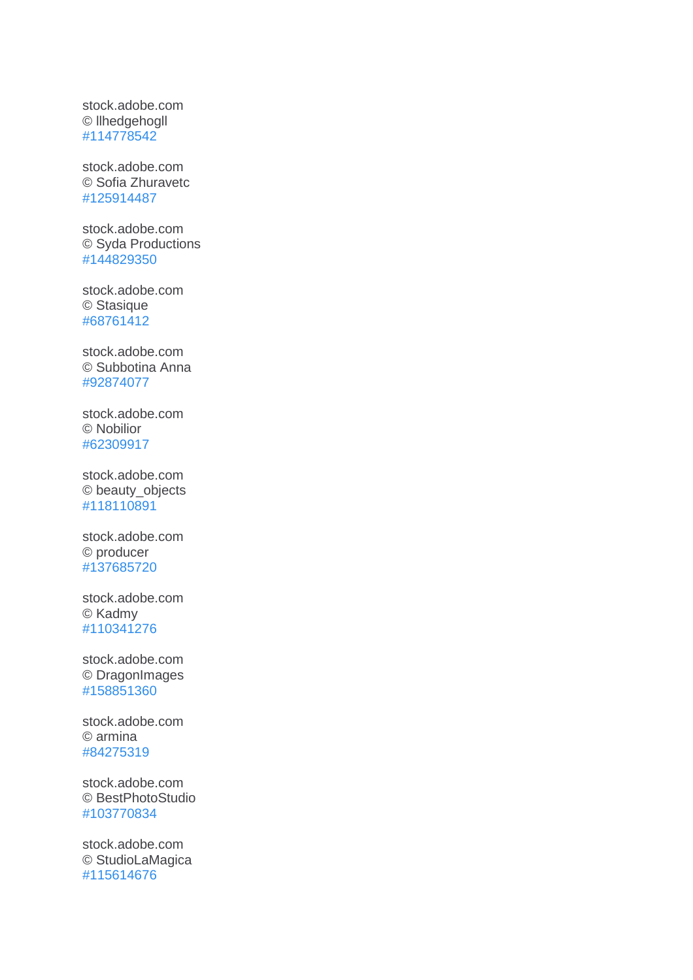stock.adobe.com © llhedgehogll [#114778542](https://stock.adobe.com/de/images/woman-before-and-after-cosmetic-nose-surgery/114778542)

stock.adobe.com © Sofia Zhuravetc [#125914487](https://stock.adobe.com/de/images/beautiful-young-woman-with-clean-fresh-skin-touch-own-face-facial-treatment-cosmetology-beauty-and-spa/125914487)

stock.adobe.com © Syda Productions [#144829350](https://stock.adobe.com/de/images/beautiful-young-woman-face-with-molecules/144829350)

stock.adobe.com © Stasique [#68761412](https://stock.adobe.com/de/images/close-up-of-woman-s-face-ready-for-rejuvenation-treatment/68761412)

stock.adobe.com © Subbotina Anna [#92874077](https://stock.adobe.com/de/images/beautiful-woman-with-perfect-fresh-clean-skin/92874077)

stock.adobe.com © Nobilior [#62309917](https://stock.adobe.com/de/images/young-female-with-clean-fresh-skin/62309917)

stock.adobe.com © beauty\_objects [#118110891](https://stock.adobe.com/de/images/close-up-neck-and-hand-near-cheen-of-caucasian-brunette-girl-isolated-on-white-background/118110891)

stock.adobe.com © producer [#137685720](https://stock.adobe.com/de/images/woman-faces-with-arrows-over-white-background-face-lifting-con/137685720)

stock.adobe.com © Kadmy [#110341276](https://stock.adobe.com/de/images/male-cardiac-surgeon-at-child-cardiosurgery-operating-room/110341276)

stock.adobe.com © DragonImages [#158851360](https://stock.adobe.com/de/images/dentist-showing-x-ray-to-patient/158851360)

stock.adobe.com © armina [#84275319](https://stock.adobe.com/de/images/dentist-woman-teeth-whitening-dental-clinic/84275319)

stock.adobe.com © BestPhotoStudio [#103770834](https://stock.adobe.com/de/images/mouth-of-man-eating-chocolate/103770834)

stock.adobe.com © StudioLaMagica [#115614676](https://stock.adobe.com/de/images/untersuchung-beim-zahnarzt/115614676)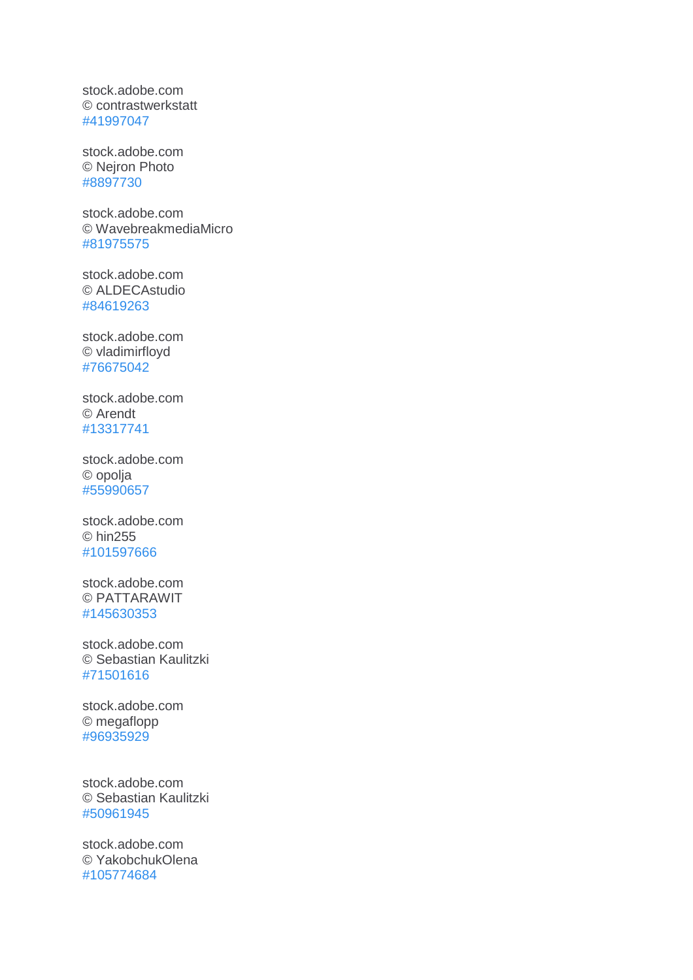stock.adobe.com © contrastwerkstatt [#41997047](https://stock.adobe.com/de/images/untersuchung-beim-zahnarzt/41997047)

stock.adobe.co[m](https://stock.adobe.com/de/images/close-up-shot-of-a-part-of-man-s-face/8897730) © Nejron Photo [#8897730](https://stock.adobe.com/de/images/close-up-shot-of-a-part-of-man-s-face/8897730)

stock.adobe.com © WavebreakmediaMicro [#81975575](https://stock.adobe.com/de/images/doctor-examining-her-patients-jaw/81975575)

stock.adobe.com © ALDECAstudio [#84619263](https://stock.adobe.com/de/images/donna-con-dolore-denti-bocca/84619263)

stock.adobe.com © vladimirfloyd [#76675042](https://stock.adobe.com/de/images/female-face-before-and-after-cosmetic-nose-surgery/76675042)

stock.adobe.com © Arendt [#13317741](https://stock.adobe.com/de/images/surgeon-at-work/13317741)

stock.adobe.com © opolja [#55990657](https://stock.adobe.com/de/images/beautiful-girl-touching-her-face-beauty-face/55990657)

stock.adobe.com © hin255 [#101597666](https://stock.adobe.com/de/images/medical-team-preparing-equipment-for-surgery/101597666)

stock.adobe.com © PATTARAWIT [#145630353](https://stock.adobe.com/de/images/cleft-lip/145630353)

stock.adobe.com © Sebastian Kaulitzki [#71501616](https://stock.adobe.com/de/images/medical-3d-illustration-of-the-jaw-bone/71501616)

stock.adobe.com © megaflopp [#96935929](https://stock.adobe.com/de/images/three-surgeons-at-work-operating-in-surgical-theatre/96935929)

stock.adobe.com © Sebastian Kaulitzki [#50961945](https://stock.adobe.com/de/images/3d-rendered-illustration-of-the-skull/50961945)

stock.adobe.com © YakobchukOlena [#105774684](https://stock.adobe.com/de/images/cheerful-surgical-team-is-working-in-surgery/105774684)